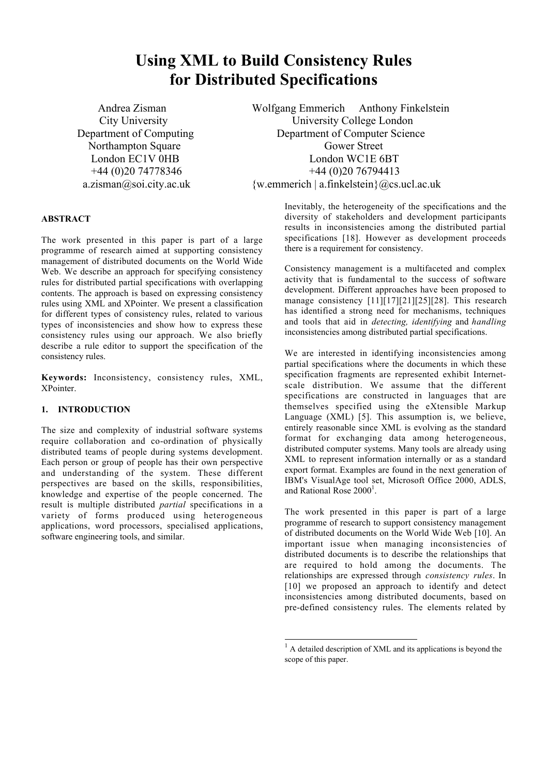# **Using XML to Build Consistency Rules for Distributed Specifications**

Andrea Zisman Wolfgang Emmerich Anthony Finkelstein City University University College London Department of Computing Department of Computer Science Northampton Square Gower Street London EC1V 0HB London WC1E 6BT +44 (0)20 74778346 +44 (0)20 76794413 a.zisman@soi.city.ac.uk {w.emmerich | a.finkelstein}@cs.ucl.ac.uk

## **ABSTRACT**

The work presented in this paper is part of a large programme of research aimed at supporting consistency management of distributed documents on the World Wide Web. We describe an approach for specifying consistency rules for distributed partial specifications with overlapping contents. The approach is based on expressing consistency rules using XML and XPointer. We present a classification for different types of consistency rules, related to various types of inconsistencies and show how to express these consistency rules using our approach. We also briefly describe a rule editor to support the specification of the consistency rules.

**Keywords:** Inconsistency, consistency rules, XML, XPointer.

# **1. INTRODUCTION**

The size and complexity of industrial software systems require collaboration and co-ordination of physically distributed teams of people during systems development. Each person or group of people has their own perspective and understanding of the system. These different perspectives are based on the skills, responsibilities, knowledge and expertise of the people concerned. The result is multiple distributed *partial* specifications in a variety of forms produced using heterogeneous applications, word processors, specialised applications, software engineering tools, and similar.

Inevitably, the heterogeneity of the specifications and the diversity of stakeholders and development participants results in inconsistencies among the distributed partial specifications [18]. However as development proceeds there is a requirement for consistency.

Consistency management is a multifaceted and complex activity that is fundamental to the success of software development. Different approaches have been proposed to manage consistency [11][17][21][25][28]. This research has identified a strong need for mechanisms, techniques and tools that aid in *detecting, identifying* and *handling* inconsistencies among distributed partial specifications.

We are interested in identifying inconsistencies among partial specifications where the documents in which these specification fragments are represented exhibit Internetscale distribution. We assume that the different specifications are constructed in languages that are themselves specified using the eXtensible Markup Language (XML) [5]. This assumption is, we believe, entirely reasonable since XML is evolving as the standard format for exchanging data among heterogeneous, distributed computer systems. Many tools are already using XML to represent information internally or as a standard export format. Examples are found in the next generation of IBM's VisualAge tool set, Microsoft Office 2000, ADLS, and Rational Rose  $2000<sup>1</sup>$ .

The work presented in this paper is part of a large programme of research to support consistency management of distributed documents on the World Wide Web [10]. An important issue when managing inconsistencies of distributed documents is to describe the relationships that are required to hold among the documents. The relationships are expressed through *consistency rules*. In [10] we proposed an approach to identify and detect inconsistencies among distributed documents, based on pre-defined consistency rules. The elements related by

L

<sup>&</sup>lt;sup>1</sup> A detailed description of XML and its applications is beyond the scope of this paper.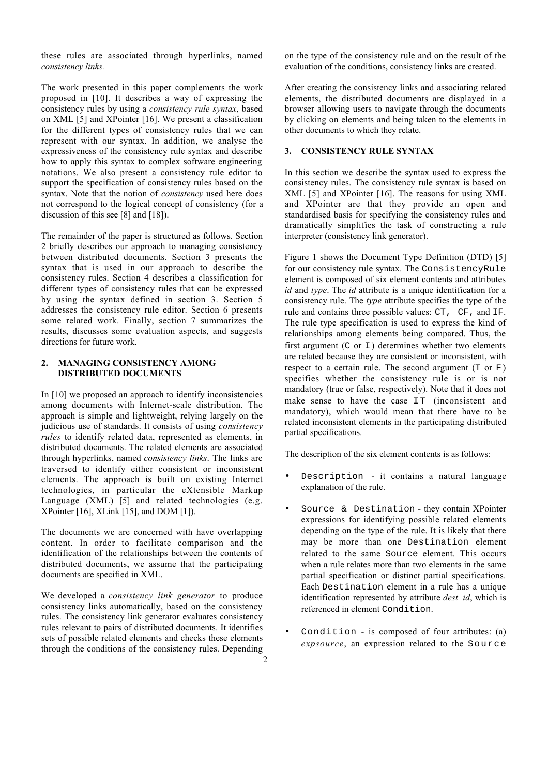these rules are associated through hyperlinks, named *consistency links.*

The work presented in this paper complements the work proposed in [10]. It describes a way of expressing the consistency rules by using a *consistency rule syntax*, based on XML [5] and XPointer [16]. We present a classification for the different types of consistency rules that we can represent with our syntax. In addition, we analyse the expressiveness of the consistency rule syntax and describe how to apply this syntax to complex software engineering notations. We also present a consistency rule editor to support the specification of consistency rules based on the syntax. Note that the notion of *consistency* used here does not correspond to the logical concept of consistency (for a discussion of this see [8] and [18]).

The remainder of the paper is structured as follows. Section 2 briefly describes our approach to managing consistency between distributed documents. Section 3 presents the syntax that is used in our approach to describe the consistency rules. Section 4 describes a classification for different types of consistency rules that can be expressed by using the syntax defined in section 3. Section 5 addresses the consistency rule editor. Section 6 presents some related work. Finally, section 7 summarizes the results, discusses some evaluation aspects, and suggests directions for future work.

## **2. MANAGING CONSISTENCY AMONG DISTRIBUTED DOCUMENTS**

In [10] we proposed an approach to identify inconsistencies among documents with Internet-scale distribution. The approach is simple and lightweight, relying largely on the judicious use of standards. It consists of using *consistency rules* to identify related data, represented as elements, in distributed documents. The related elements are associated through hyperlinks, named *consistency links*. The links are traversed to identify either consistent or inconsistent elements. The approach is built on existing Internet technologies, in particular the eXtensible Markup Language (XML) [5] and related technologies (e.g. XPointer [16], XLink [15], and DOM [1]).

The documents we are concerned with have overlapping content. In order to facilitate comparison and the identification of the relationships between the contents of distributed documents, we assume that the participating documents are specified in XML.

We developed a *consistency link generator* to produce consistency links automatically, based on the consistency rules. The consistency link generator evaluates consistency rules relevant to pairs of distributed documents. It identifies sets of possible related elements and checks these elements through the conditions of the consistency rules. Depending

on the type of the consistency rule and on the result of the evaluation of the conditions, consistency links are created.

After creating the consistency links and associating related elements, the distributed documents are displayed in a browser allowing users to navigate through the documents by clicking on elements and being taken to the elements in other documents to which they relate.

#### **3. CONSISTENCY RULE SYNTAX**

In this section we describe the syntax used to express the consistency rules. The consistency rule syntax is based on XML [5] and XPointer [16]. The reasons for using XML and XPointer are that they provide an open and standardised basis for specifying the consistency rules and dramatically simplifies the task of constructing a rule interpreter (consistency link generator).

Figure 1 shows the Document Type Definition (DTD) [5] for our consistency rule syntax. The ConsistencyRule element is composed of six element contents and attributes *id* and *type*. The *id* attribute is a unique identification for a consistency rule. The *type* attribute specifies the type of the rule and contains three possible values: CT, CF, and IF. The rule type specification is used to express the kind of relationships among elements being compared. Thus, the first argument ( $C$  or  $I$ ) determines whether two elements are related because they are consistent or inconsistent, with respect to a certain rule. The second argument  $(T \text{ or } F)$ specifies whether the consistency rule is or is not mandatory (true or false, respectively). Note that it does not make sense to have the case  $IT$  (inconsistent and mandatory), which would mean that there have to be related inconsistent elements in the participating distributed partial specifications.

The description of the six element contents is as follows:

- Description it contains a natural language explanation of the rule.
- Source & Destination they contain XPointer expressions for identifying possible related elements depending on the type of the rule. It is likely that there may be more than one Destination element related to the same Source element. This occurs when a rule relates more than two elements in the same partial specification or distinct partial specifications. Each Destination element in a rule has a unique identification represented by attribute *dest\_id*, which is referenced in element Condition.
- Condition is composed of four attributes:  $(a)$ *expsource*, an expression related to the Source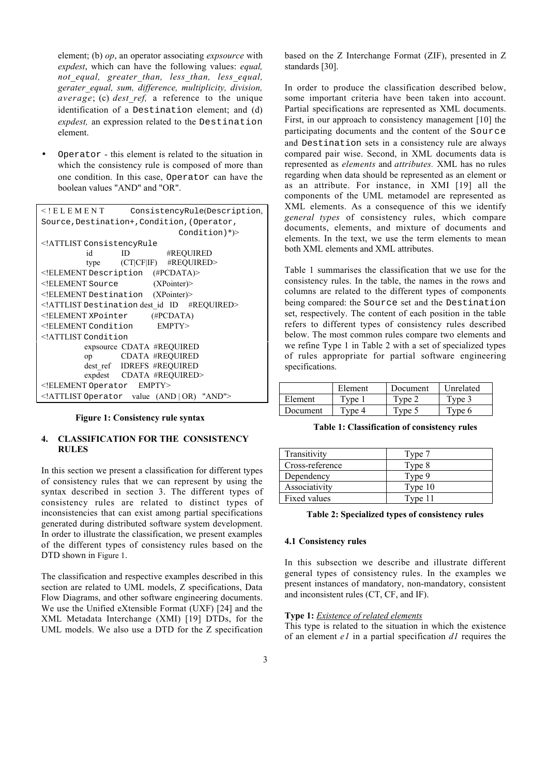element; (b) *op*, an operator associating *expsource* with *expdest*, which can have the following values: *equal, not\_equal, greater\_than, less\_than, less\_equal, gerater\_equal, sum, difference, multiplicity, division, average*; (c) *dest\_ref,* a reference to the unique identification of a Destination element; and (d) *expdest,* an expression related to the Destination element.

• Operator - this element is related to the situation in which the consistency rule is composed of more than one condition. In this case, Operator can have the boolean values "AND" and "OR".

| $<$ ! E L E M E N T                    | ConsistencyRule(Description,                |
|----------------------------------------|---------------------------------------------|
|                                        | Source, Destination+, Condition, (Operator, |
|                                        | $Condition)$ <sup>*</sup> )>                |
| ATTLIST ConsistencyRule</td <td></td>  |                                             |
| id                                     | #REQUIRED<br>ID                             |
|                                        | type (CT CF IF) #REQUIRED>                  |
|                                        | ELEMENT Description (#PCDATA)               |
| ELEMENT Source</td <td>(XPointer)</td> | (XPointer)                                  |
|                                        | ELEMENT Destination (XPointer)              |
|                                        | ATTLIST Destination dest id ID #REQUIRED    |
|                                        | $\leq$ ELEMENT XPointer (#PCDATA)           |
|                                        | ELEMENT Condition EMPTY                     |
| ATTLIST Condition</td <td></td>        |                                             |
|                                        | expsource CDATA #REQUIRED                   |
|                                        | op CDATA #REQUIRED                          |
|                                        | dest ref IDREFS #REQUIRED                   |
|                                        | expdest CDATA #REQUIRED>                    |
| ELEMENT Operator EMPTY                 |                                             |
|                                        | ATTLIST Operator value (AND   OR) "AND"     |

#### **Figure 1: Consistency rule syntax**

## **4. CLASSIFICATION FOR THE CONSISTENCY RULES**

In this section we present a classification for different types of consistency rules that we can represent by using the syntax described in section 3. The different types of consistency rules are related to distinct types of inconsistencies that can exist among partial specifications generated during distributed software system development. In order to illustrate the classification, we present examples of the different types of consistency rules based on the DTD shown in Figure 1.

The classification and respective examples described in this section are related to UML models, Z specifications, Data Flow Diagrams, and other software engineering documents. We use the Unified eXtensible Format (UXF) [24] and the XML Metadata Interchange (XMI) [19] DTDs, for the UML models. We also use a DTD for the Z specification based on the Z Interchange Format (ZIF), presented in Z standards [30].

In order to produce the classification described below, some important criteria have been taken into account. Partial specifications are represented as XML documents. First, in our approach to consistency management [10] the participating documents and the content of the Source and Destination sets in a consistency rule are always compared pair wise. Second, in XML documents data is represented as *elements* and *attributes.* XML has no rules regarding when data should be represented as an element or as an attribute. For instance, in XMI [19] all the components of the UML metamodel are represented as XML elements. As a consequence of this we identify *general types* of consistency rules, which compare documents, elements, and mixture of documents and elements. In the text, we use the term elements to mean both XML elements and XML attributes.

Table 1 summarises the classification that we use for the consistency rules. In the table, the names in the rows and columns are related to the different types of components being compared: the Source set and the Destination set, respectively. The content of each position in the table refers to different types of consistency rules described below. The most common rules compare two elements and we refine Type 1 in Table 2 with a set of specialized types of rules appropriate for partial software engineering specifications.

|          | Element                | Document    | Unrelated |
|----------|------------------------|-------------|-----------|
| Element  | $r_{\text{vne}}$       | Tyne 2      | Tvne 3    |
| Document | $T$ <sub>Vne</sub> $4$ | $T$ vpe $5$ | Tvne 6    |

**Table 1: Classification of consistency rules**

| Transitivity        | Type 7  |
|---------------------|---------|
| Cross-reference     | Type 8  |
| Dependency          | Type 9  |
| Associativity       | Type 10 |
| <b>Fixed values</b> | Type 11 |

#### **Table 2: Specialized types of consistency rules**

#### **4.1 Consistency rules**

In this subsection we describe and illustrate different general types of consistency rules. In the examples we present instances of mandatory, non-mandatory, consistent and inconsistent rules (CT, CF, and IF).

#### **Type 1:** *Existence of related elements*

This type is related to the situation in which the existence of an element *e1* in a partial specification *d1* requires the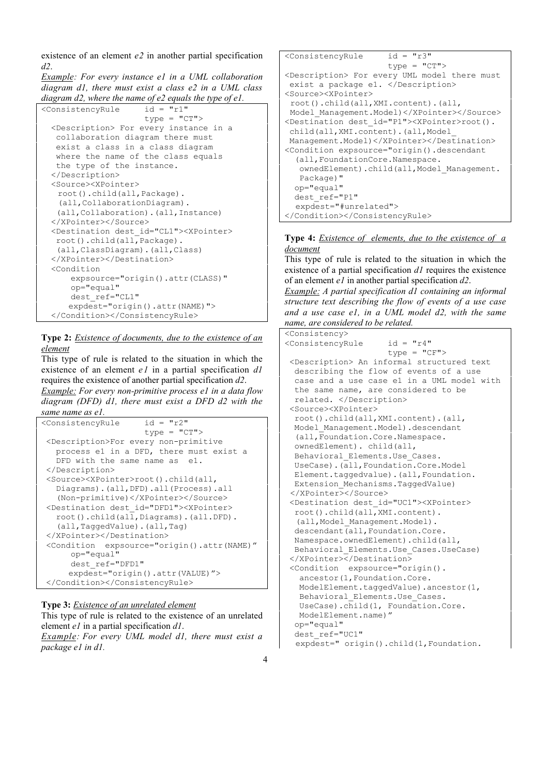existence of an element *e2* in another partial specification *d2*.

*Example: For every instance e1 in a UML collaboration diagram d1, there must exist a class e2 in a UML class diagram d2, where the name of e2 equals the type of e1.*

```
<ConsistencyRule id = "r1"
                      type = "CT" <Description> For every instance in a
   collaboration diagram there must
   exist a class in a class diagram
   where the name of the class equals
   the type of the instance.
   </Description>
  <Source><XPointer>
    root().child(all,Package).
    (all,CollaborationDiagram).
    (all,Collaboration).(all,Instance)
   </XPointer></Source>
   <Destination dest_id="CL1"><XPointer>
   root().child(all,Package).
    (all,ClassDiagram).(all,Class)
   </XPointer></Destination>
   <Condition
       expsource="origin().attr(CLASS)"
       op="equal"
       dest_ref="CL1"
      expdest="origin().attr(NAME)">
   </Condition></ConsistencyRule>
```
## **Type 2:** *Existence of documents, due to the existence of an element*

This type of rule is related to the situation in which the existence of an element *e1* in a partial specification *d1* requires the existence of another partial specification *d2*. *Example: For every non-primitive process e1 in a data flow*

*diagram (DFD) d1, there must exist a DFD d2 with the same name as e1.*

```
<ConsistencyRule id = "r2"
                     type = "CT" <Description>For every non-primitive
   process e1 in a DFD, there must exist a
   DFD with the same name as el.
  </Description>
  <Source><XPointer>root().child(all,
    Diagrams).(all,DFD).all(Process).all
    (Non-primitive)</XPointer></Source>
  <Destination dest_id="DFD1"><XPointer>
   root().child(all,Diagrams).(all.DFD).
    (all,TaggedValue).(all,Tag)
  </XPointer></Destination>
  <Condition expsource="origin().attr(NAME)"
      op="equal"
      dest_ref="DFD1"
      expdest="origin().attr(VALUE)">
  </Condition></ConsistencyRule>
```
# **Type 3:** *Existence of an unrelated element*

This type of rule is related to the existence of an unrelated element *e1* in a partial specification *d1*. *Example: For every UML model d1, there must exist a*

*package e1 in d1.*

```
<ConsistencyRule id = "r3"
                      type = "CT">
<Description> For every UML model there must
 exist a package e1. </Description>
<Source><XPointer>
 root().child(all,XMI.content).(all,
Model_Management.Model)</XPointer></Source>
<Destination dest id="P1"><XPointer>root().
 child(all,XMI.content).(all,Model_
 Management.Model)</XPointer></Destination>
<Condition expsource="origin().descendant
   (all,FoundationCore.Namespace.
  ownedElement).child(all, Model Management.
   Package)"
  op="equal"
  dest_ref="P1"
   expdest="#unrelated">
</Condition></ConsistencyRule>
```
## **Type 4:** *Existence of elements, due to the existence of a document*

This type of rule is related to the situation in which the existence of a partial specification *d1* requires the existence of an element *e1* in another partial specification *d2*.

*Example: A partial specification d1 containing an informal structure text describing the flow of events of a use case and a use case e1, in a UML model d2, with the same name, are considered to be related.*

```
<Consistency>
<ConsistencyRule id = "r4"
                      type = "CF">
 <Description> An informal structured text
  describing the flow of events of a use
  case and a use case e1 in a UML model with
  the same name, are considered to be
  related. </Description>
 <Source><XPointer>
   root().child(all,XMI.content).(all,
  Model_Management.Model).descendant
   (all,Foundation.Core.Namespace.
  ownedElement). child(all,
  Behavioral_Elements.Use_Cases.
  UseCase).(all,Foundation.Core.Model
  Element.taggedvalue).(all,Foundation.
  Extension_Mechanisms.TaggedValue)
 </XPointer></Source>
 <Destination dest_id="UC1"><XPointer>
  root().child(all,XMI.content).
  (all, Model Management.Model).
 descendant (all, Foundation.Core.
  Namespace.ownedElement).child(all,
  Behavioral_Elements.Use_Cases.UseCase)
 </XPointer></Destination>
 <Condition expsource="origin().
    ancestor(1,Foundation.Core.
   ModelElement.taggedValue).ancestor(1,
   Behavioral_Elements.Use_Cases.
   UseCase).child(1, Foundation.Core.
   ModelElement.name)"
  op="equal"
  dest_ref="UC1"
   expdest=" origin().child(1,Foundation.
```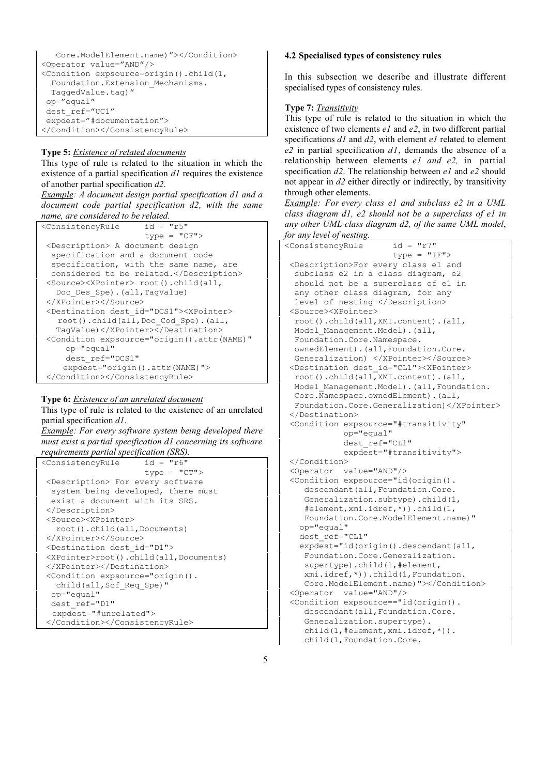```
 Core.ModelElement.name)"></Condition>
<Operator value="AND"/>
<Condition expsource=origin().child(1,
  Foundation.Extension_Mechanisms.
  TaggedValue.tag)"
 op="equal"
 dest_ref="UC1"
 expdest="#documentation">
</Condition></ConsistencyRule>
```
## **Type 5:** *Existence of related documents*

This type of rule is related to the situation in which the existence of a partial specification *d1* requires the existence of another partial specification *d2*.

*Example: A document design partial specification d1 and a document code partial specification d2, with the same name, are considered to be related.*

```
<ConsistencyRule id = "r5"
                      type = "CF">
 <Description> A document design
  specification and a document code
  specification, with the same name, are
  considered to be related.</Description>
 <Source><XPointer> root().child(all,
  Doc Des Spe).(all,TagValue)
 </XPointer></Source>
 <Destination dest_id="DCS1"><XPointer>
    root().child(all,Doc_Cod_Spe).(all,
   TagValue)</XPointer></Destination>
 <Condition expsource="origin().attr(NAME)"
     op="equal"
     dest_ref="DCS1"
     expdest="origin().attr(NAME)">
 </Condition></ConsistencyRule>
```
#### **Type 6:** *Existence of an unrelated document*

This type of rule is related to the existence of an unrelated partial specification *d1*.

*Example: For every software system being developed there must exist a partial specification d1 concerning its software requirements partial specification (SRS).*

```
<ConsistencyRule id = "r6"
                      type = "CT" <Description> For every software
  system being developed, there must
   exist a document with its SRS.
  </Description>
  <Source><XPointer>
    root().child(all,Documents)
  </XPointer></Source>
  <Destination dest_id="D1">
  <XPointer>root().child(all,Documents)
  </XPointer></Destination>
  <Condition expsource="origin().
   child(all,Sof_Req_Spe)"
  op="equal"
  dest_ref="D1"
   expdest="#unrelated">
  </Condition></ConsistencyRule>
```
#### **4.2 Specialised types of consistency rules**

In this subsection we describe and illustrate different specialised types of consistency rules.

#### **Type 7:** *Transitivity*

This type of rule is related to the situation in which the existence of two elements *e1* and *e2*, in two different partial specifications *d1* and *d2*, with element *e1* related to element *e2* in partial specification *d1*, demands the absence of a relationship between elements *e1 and e2,* in partial specification *d2*. The relationship between *e1* and *e2* should not appear in *d2* either directly or indirectly, by transitivity through other elements.

*Example: For every class e1 and subclass e2 in a UML class diagram d1, e2 should not be a superclass of e1 in any other UML class diagram d2, of the same UML model*, *for any level of nesting.*

```
<ConsistencyRule id = "r7"
                       type = "IF">
 <Description>For every class e1 and
  subclass e2 in a class diagram, e2
  should not be a superclass of e1 in
  any other class diagram, for any
  level of nesting </Description>
 <Source><XPointer>
  root().child(all,XMI.content).(all,
  Model_Management.Model).(all,
  Foundation.Core.Namespace.
  ownedElement).(all,Foundation.Core.
  Generalization) </XPointer></Source>
 <Destination dest_id="CL1"><XPointer>
   root().child(all,XMI.content).(all,
  Model_Management.Model).(all,Foundation.
  Core.Namespace.ownedElement).(all,
  Foundation.Core.Generalization)</XPointer>
 </Destination>
  <Condition expsource="#transitivity"
             op="equal"
             dest_ref="CL1"
             expdest="#transitivity">
 </Condition>
 <Operator value="AND"/>
 <Condition expsource="id(origin().
   descendant(all, Foundation.Core.
    Generalization.subtype).child(1,
     #element,xmi.idref,*)).child(1,
    Foundation.Core.ModelElement.name)"
   op="equal"
   dest_ref="CL1"
   expdest="id(origin().descendant(all,
    Foundation.Core.Generalization.
     supertype).child(1,#element,
    xmi.idref,*)).child(1,Foundation.
     Core.ModelElement.name)"></Condition>
 <Operator value="AND"/>
 <Condition expsource=="id(origin().
    descendant (all, Foundation.Core.
    Generalization.supertype).
     child(1,#element,xmi.idref,*)).
     child(1,Foundation.Core.
```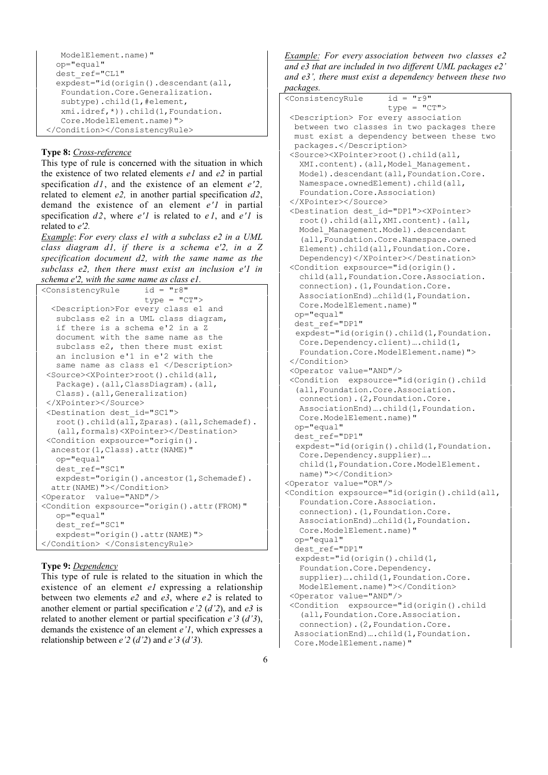```
 ModelElement.name)"
  op="equal"
  dest_ref="CL1"
 expdest="id(origin().descendant(all,
   Foundation.Core.Generalization.
   subtype).child(1,#element,
   xmi.idref,*)).child(1,Foundation.
   Core.ModelElement.name)">
 </Condition></ConsistencyRule>
```
## **Type 8:** *Cross-reference*

This type of rule is concerned with the situation in which the existence of two related elements *e1* and *e2* in partial specification *d1*, and the existence of an element *e'2,* related to element *e2,* in another partial specification *d2*, demand the existence of an element *e'1* in partial specification *d2*, where *e'1* is related to *e 1*, and *e'1* is related to *e'2.*

*Example*: *For every class e1 with a subclass e2 in a UML class diagram d1, if there is a schema e'2, in a Z specification document d2, with the same name as the subclass e2, then there must exist an inclusion e'1 in schema e'2, with the same name as class e1.*

| <consistencyrule <="" id="r8" th=""></consistencyrule>                                                                               |
|--------------------------------------------------------------------------------------------------------------------------------------|
| $type = "CT"$                                                                                                                        |
|                                                                                                                                      |
| <description>For every class e1 and</description>                                                                                    |
| subclass e2 in a UML class diagram,                                                                                                  |
| if there is a schema e'2 in a Z                                                                                                      |
| document with the same name as the                                                                                                   |
| subclass e2, then there must exist                                                                                                   |
| an inclusion e'1 in e'2 with the                                                                                                     |
| same name as class e1                                                                                                                |
| <source/> <xpointer>root().child(all,</xpointer>                                                                                     |
| Package). (all, ClassDiagram). (all,                                                                                                 |
| Class). (all, Generalization)                                                                                                        |
|                                                                                                                                      |
| <destination dest="" id="SC1"></destination>                                                                                         |
| root().child(all,Zparas).(all,Schemadef).                                                                                            |
| (all, formals) <xpointer></xpointer>                                                                                                 |
| <condition <="" expsource="origin().&lt;/td&gt;&lt;/tr&gt;&lt;tr&gt;&lt;td&gt;ancestor (1, Class) . attr (NAME) " td=""></condition> |
| op="equal"                                                                                                                           |
| dest ref="SC1"                                                                                                                       |
| expdest="origin().ancestor(1,Schemadef).                                                                                             |
| attr(NAME)">                                                                                                                         |
| <operator value="AND"></operator>                                                                                                    |
|                                                                                                                                      |
| <condition <="" expsource="origin().attr(FROM)" td=""></condition>                                                                   |
| op="equal"                                                                                                                           |
| dest ref="SC1"                                                                                                                       |
| expdest="origin().attr(NAME)">                                                                                                       |
|                                                                                                                                      |

## **Type 9:** *Dependency*

This type of rule is related to the situation in which the existence of an element *e1* expressing a relationship between two elements *e2* and *e3*, where *e2* is related to another element or partial specification *e'2* (*d'2*), and *e3* is related to another element or partial specification *e'3* (*d'3*), demands the existence of an element *e'1*, which expresses a relationship between *e'2* (*d'2*) and *e'3* (*d'3*).

*Example: For every association between two classes e2 and e3 that are included in two different UML packages e2' and e3', there must exist a dependency between these two packages.*

| packages.                                                                                                                                                                                                                                                                                                                                                                                                                                                                                                                               |  |
|-----------------------------------------------------------------------------------------------------------------------------------------------------------------------------------------------------------------------------------------------------------------------------------------------------------------------------------------------------------------------------------------------------------------------------------------------------------------------------------------------------------------------------------------|--|
| $id = "r9"$<br><consistencyrule< td=""><td></td></consistencyrule<>                                                                                                                                                                                                                                                                                                                                                                                                                                                                     |  |
| $type = "CT"$                                                                                                                                                                                                                                                                                                                                                                                                                                                                                                                           |  |
| <description> For every association</description>                                                                                                                                                                                                                                                                                                                                                                                                                                                                                       |  |
| between two classes in two packages there                                                                                                                                                                                                                                                                                                                                                                                                                                                                                               |  |
| must exist a dependency between these two                                                                                                                                                                                                                                                                                                                                                                                                                                                                                               |  |
| packages.                                                                                                                                                                                                                                                                                                                                                                                                                                                                                                                               |  |
| <source/> <xpointer>root().child(all,</xpointer>                                                                                                                                                                                                                                                                                                                                                                                                                                                                                        |  |
| XMI.content). (all, Model Management.                                                                                                                                                                                                                                                                                                                                                                                                                                                                                                   |  |
| Model).descendant(all, Foundation.Core.                                                                                                                                                                                                                                                                                                                                                                                                                                                                                                 |  |
|                                                                                                                                                                                                                                                                                                                                                                                                                                                                                                                                         |  |
| Namespace.ownedElement).child(all,<br>Foundation.Core.Association)                                                                                                                                                                                                                                                                                                                                                                                                                                                                      |  |
|                                                                                                                                                                                                                                                                                                                                                                                                                                                                                                                                         |  |
|                                                                                                                                                                                                                                                                                                                                                                                                                                                                                                                                         |  |
| <destination dest="" id="DP1"><xpointer></xpointer></destination>                                                                                                                                                                                                                                                                                                                                                                                                                                                                       |  |
| root().child(all, XMI.content).(all,                                                                                                                                                                                                                                                                                                                                                                                                                                                                                                    |  |
| Model Management. Model).descendant                                                                                                                                                                                                                                                                                                                                                                                                                                                                                                     |  |
| (all, Foundation. Core. Namespace. owned                                                                                                                                                                                                                                                                                                                                                                                                                                                                                                |  |
| Element).child(all, Foundation.Core.                                                                                                                                                                                                                                                                                                                                                                                                                                                                                                    |  |
| Dependency)                                                                                                                                                                                                                                                                                                                                                                                                                                                                                                                             |  |
| <condition <="" expsource="id(origin().&lt;/td&gt;&lt;td&gt;&lt;/td&gt;&lt;/tr&gt;&lt;tr&gt;&lt;td&gt;child(all, Foundation. Core. Association.&lt;/td&gt;&lt;td&gt;&lt;/td&gt;&lt;/tr&gt;&lt;tr&gt;&lt;td&gt;connection). (1, Foundation. Core.&lt;/td&gt;&lt;td&gt;&lt;/td&gt;&lt;/tr&gt;&lt;tr&gt;&lt;td&gt;AssociationEnd) child(1, Foundation.&lt;/td&gt;&lt;td&gt;&lt;/td&gt;&lt;/tr&gt;&lt;tr&gt;&lt;td&gt;Core.ModelElement.name)" td=""><td></td></condition>                                                                  |  |
| op="equal"                                                                                                                                                                                                                                                                                                                                                                                                                                                                                                                              |  |
| dest ref="DP1"                                                                                                                                                                                                                                                                                                                                                                                                                                                                                                                          |  |
| expdest="id(origin().child(1,Foundation.                                                                                                                                                                                                                                                                                                                                                                                                                                                                                                |  |
| Core.Dependency.client)child(1,                                                                                                                                                                                                                                                                                                                                                                                                                                                                                                         |  |
| Foundation.Core.ModelElement.name)">                                                                                                                                                                                                                                                                                                                                                                                                                                                                                                    |  |
|                                                                                                                                                                                                                                                                                                                                                                                                                                                                                                                                         |  |
| <operator value="AND"></operator>                                                                                                                                                                                                                                                                                                                                                                                                                                                                                                       |  |
| <condition <="" expsource="id(origin().child&lt;/td&gt;&lt;td&gt;&lt;/td&gt;&lt;/tr&gt;&lt;tr&gt;&lt;td&gt;(all, Foundation. Core. Association.&lt;/td&gt;&lt;td&gt;&lt;/td&gt;&lt;/tr&gt;&lt;tr&gt;&lt;td&gt;&lt;/td&gt;&lt;td&gt;&lt;/td&gt;&lt;/tr&gt;&lt;tr&gt;&lt;td&gt;connection). (2, Foundation. Core.&lt;/td&gt;&lt;td&gt;&lt;/td&gt;&lt;/tr&gt;&lt;tr&gt;&lt;td&gt;AssociationEnd)  child (1, Foundation.&lt;/td&gt;&lt;td&gt;&lt;/td&gt;&lt;/tr&gt;&lt;tr&gt;&lt;td&gt;Core.ModelElement.name)" td=""><td></td></condition> |  |
| op="equal"                                                                                                                                                                                                                                                                                                                                                                                                                                                                                                                              |  |
| dest ref="DP1"                                                                                                                                                                                                                                                                                                                                                                                                                                                                                                                          |  |
| expdest="id(origin().child(1,Foundation.                                                                                                                                                                                                                                                                                                                                                                                                                                                                                                |  |
| Core.Dependency.supplier)                                                                                                                                                                                                                                                                                                                                                                                                                                                                                                               |  |
| child(1, Foundation. Core. ModelElement.                                                                                                                                                                                                                                                                                                                                                                                                                                                                                                |  |
| name) ">                                                                                                                                                                                                                                                                                                                                                                                                                                                                                                                                |  |
| <operator value="OR"></operator>                                                                                                                                                                                                                                                                                                                                                                                                                                                                                                        |  |
| <condition <="" expsource="id(origin().child(all,&lt;/td&gt;&lt;td&gt;&lt;/td&gt;&lt;/tr&gt;&lt;tr&gt;&lt;td&gt;Foundation.Core.Association.&lt;/td&gt;&lt;td&gt;&lt;/td&gt;&lt;/tr&gt;&lt;tr&gt;&lt;td&gt;connection). (1, Foundation. Core.&lt;/td&gt;&lt;td&gt;&lt;/td&gt;&lt;/tr&gt;&lt;tr&gt;&lt;td&gt;AssociationEnd) child(1, Foundation.&lt;/td&gt;&lt;td&gt;&lt;/td&gt;&lt;/tr&gt;&lt;tr&gt;&lt;td&gt;Core.ModelElement.name)" td=""><td></td></condition>                                                                     |  |
| op="equal"                                                                                                                                                                                                                                                                                                                                                                                                                                                                                                                              |  |
| dest ref="DP1"                                                                                                                                                                                                                                                                                                                                                                                                                                                                                                                          |  |
| expdest="id(origin().child(1,                                                                                                                                                                                                                                                                                                                                                                                                                                                                                                           |  |
| Foundation.Core.Dependency.                                                                                                                                                                                                                                                                                                                                                                                                                                                                                                             |  |
| supplier)  child (1, Foundation. Core.                                                                                                                                                                                                                                                                                                                                                                                                                                                                                                  |  |
| ModelElement.name) ">                                                                                                                                                                                                                                                                                                                                                                                                                                                                                                                   |  |
| <operator value="AND"></operator>                                                                                                                                                                                                                                                                                                                                                                                                                                                                                                       |  |
| <condition <="" expsource="id(origin().child&lt;/td&gt;&lt;td&gt;&lt;/td&gt;&lt;/tr&gt;&lt;tr&gt;&lt;td&gt;(all, Foundation. Core. Association.&lt;/td&gt;&lt;td&gt;&lt;/td&gt;&lt;/tr&gt;&lt;tr&gt;&lt;td&gt;connection). (2, Foundation. Core.&lt;/td&gt;&lt;td&gt;&lt;/td&gt;&lt;/tr&gt;&lt;tr&gt;&lt;td&gt;&lt;/td&gt;&lt;td&gt;&lt;/td&gt;&lt;/tr&gt;&lt;tr&gt;&lt;td&gt;AssociationEnd)  child (1, Foundation.&lt;/td&gt;&lt;td&gt;&lt;/td&gt;&lt;/tr&gt;&lt;tr&gt;&lt;td&gt;Core.ModelElement.name)" td=""><td></td></condition> |  |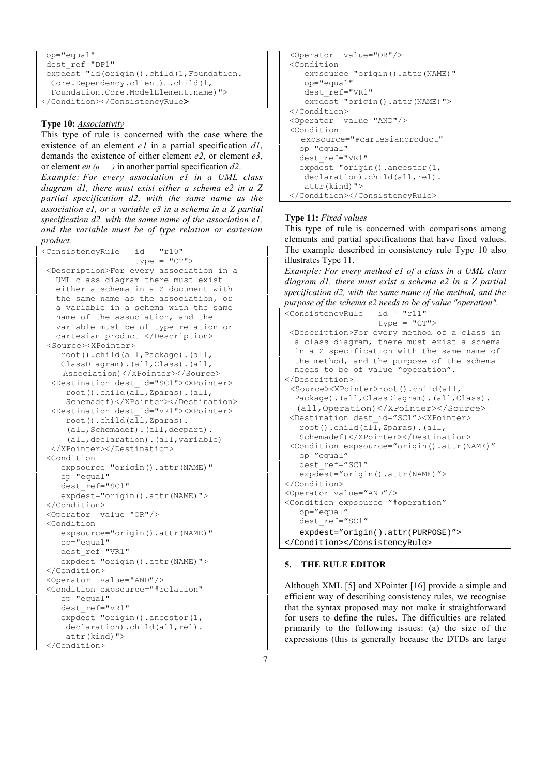```
 op="equal"
 dest_ref="DP1"
 expdest="id(origin().child(1,Foundation.
  Core.Dependency.client)….child(1,
  Foundation.Core.ModelElement.name)">
</Condition></ConsistencyRule>
```
## **Type 10:** *Associativity*

This type of rule is concerned with the case where the existence of an element *e1* in a partial specification *d1*, demands the existence of either element *e2*, or element *e3*, or element *en (n \_ \_)* in another partial specification *d2*.

*Example: For every association e1 in a UML class diagram d1, there must exist either a schema e2 in a Z partial specification d2, with the same name as the association e1, or a variable e3 in a schema in a Z partial specification d2, with the same name of the association e1, and the variable must be of type relation or cartesian product.*

```
<ConsistencyRule id = "r10"
                   type = "CT" <Description>For every association in a
   UML class diagram there must exist
    either a schema in a Z document with
    the same name as the association, or
    a variable in a schema with the same
   name of the association, and the
   variable must be of type relation or
    cartesian product </Description>
 <Source><XPointer>
     root().child(all,Package).(all,
     ClassDiagram).(all,Class).(all,
     Association)</XPointer></Source>
   <Destination dest_id="SC1"><XPointer>
      root().child(all,Zparas).(all,
      Schemadef)</XPointer></Destination>
   <Destination dest_id="VR1"><XPointer>
      root().child(all,Zparas).
      (all,Schemadef).(all,decpart).
      (all,declaration).(all,variable)
   </XPointer></Destination>
  <Condition
     expsource="origin().attr(NAME)"
     op="equal"
     dest_ref="SC1"
     expdest="origin().attr(NAME)">
  </Condition>
  <Operator value="OR"/>
  <Condition
     expsource="origin().attr(NAME)"
     op="equal"
     dest_ref="VR1"
     expdest="origin().attr(NAME)">
  </Condition>
  <Operator value="AND"/>
  <Condition expsource="#relation"
     op="equal"
     dest_ref="VR1"
    expdest="origin().ancestor(1,
     declaration).child(all,rel).
      attr(kind)">
  </Condition>
```

```
 <Operator value="OR"/>
 <Condition
    expsource="origin().attr(NAME)"
    op="equal"
    dest_ref="VR1"
    expdest="origin().attr(NAME)">
 </Condition>
 <Operator value="AND"/>
 <Condition
   expsource="#cartesianproduct"
   op="equal"
  dest ref="VR1"
  expdest="origin().ancestor(1,
    declaration).child(all,rel).
    attr(kind)">
 </Condition></ConsistencyRule>
```
## **Type 11:** *Fixed values*

This type of rule is concerned with comparisons among elements and partial specifications that have fixed values. The example described in consistency rule Type 10 also illustrates Type 11.

*Example: For every method e1 of a class in a UML class diagram d1, there must exist a schema e2 in a Z partial specification d2, with the same name of the method, and the purpose of the schema e2 needs to be of value "operation".*

```
<ConsistencyRule id = "r11"
                    type = "CT">
 <Description>For every method of a class in
  a class diagram, there must exist a schema
   in a Z specification with the same name of
   the method, and the purpose of the schema
  needs to be of value "operation".
</Description>
 <Source><XPointer>root().child(all,
   Package).(all,ClassDiagram).(all,Class).
   (all,Operation)</XPointer></Source>
 <Destination dest_id="SC1"><XPointer>
   root() .child(al<sub>1</sub>,Zparas) .(all, Schemadef)</XPointer></Destination>
 <Condition expsource="origin().attr(NAME)"
   op="equal"
   dest ref="SC1"
    expdest="origin().attr(NAME)">
</Condition>
<Operator value="AND"/>
<Condition expsource="#operation"
    op="equal"
    dest_ref="SC1"
    expdest="origin().attr(PURPOSE)">
</Condition></ConsistencyRule>
```
## **5. THE RULE EDITOR**

Although XML [5] and XPointer [16] provide a simple and efficient way of describing consistency rules, we recognise that the syntax proposed may not make it straightforward for users to define the rules. The difficulties are related primarily to the following issues: (a) the size of the expressions (this is generally because the DTDs are large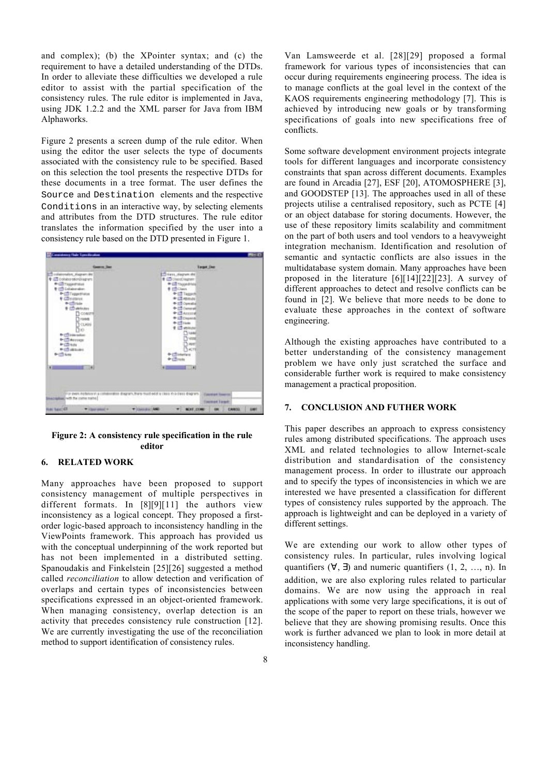and complex); (b) the XPointer syntax; and (c) the requirement to have a detailed understanding of the DTDs. In order to alleviate these difficulties we developed a rule editor to assist with the partial specification of the consistency rules. The rule editor is implemented in Java, using JDK 1.2.2 and the XML parser for Java from IBM Alphaworks.

Figure 2 presents a screen dump of the rule editor. When using the editor the user selects the type of documents associated with the consistency rule to be specified. Based on this selection the tool presents the respective DTDs for these documents in a tree format. The user defines the Source and Destination elements and the respective Conditions in an interactive way, by selecting elements and attributes from the DTD structures. The rule editor translates the information specified by the user into a consistency rule based on the DTD presented in Figure 1.



**Figure 2: A consistency rule specification in the rule editor**

## **6. RELATED WORK**

Many approaches have been proposed to support consistency management of multiple perspectives in different formats. In [8][9][11] the authors view inconsistency as a logical concept. They proposed a firstorder logic-based approach to inconsistency handling in the ViewPoints framework. This approach has provided us with the conceptual underpinning of the work reported but has not been implemented in a distributed setting. Spanoudakis and Finkelstein [25][26] suggested a method called *reconciliation* to allow detection and verification of overlaps and certain types of inconsistencies between specifications expressed in an object-oriented framework. When managing consistency, overlap detection is an activity that precedes consistency rule construction [12]. We are currently investigating the use of the reconciliation method to support identification of consistency rules.

Van Lamsweerde et al. [28][29] proposed a formal framework for various types of inconsistencies that can occur during requirements engineering process. The idea is to manage conflicts at the goal level in the context of the KAOS requirements engineering methodology [7]. This is achieved by introducing new goals or by transforming specifications of goals into new specifications free of conflicts.

Some software development environment projects integrate tools for different languages and incorporate consistency constraints that span across different documents. Examples are found in Arcadia [27], ESF [20], ATOMOSPHERE [3], and GOODSTEP [13]. The approaches used in all of these projects utilise a centralised repository, such as PCTE [4] or an object database for storing documents. However, the use of these repository limits scalability and commitment on the part of both users and tool vendors to a heavyweight integration mechanism. Identification and resolution of semantic and syntactic conflicts are also issues in the multidatabase system domain. Many approaches have been proposed in the literature [6][14][22][23]. A survey of different approaches to detect and resolve conflicts can be found in [2]. We believe that more needs to be done to evaluate these approaches in the context of software engineering.

Although the existing approaches have contributed to a better understanding of the consistency management problem we have only just scratched the surface and considerable further work is required to make consistency management a practical proposition.

## **7. CONCLUSION AND FUTHER WORK**

This paper describes an approach to express consistency rules among distributed specifications. The approach uses XML and related technologies to allow Internet-scale distribution and standardisation of the consistency management process. In order to illustrate our approach and to specify the types of inconsistencies in which we are interested we have presented a classification for different types of consistency rules supported by the approach. The approach is lightweight and can be deployed in a variety of different settings.

We are extending our work to allow other types of consistency rules. In particular, rules involving logical quantifiers  $(\forall, \exists)$  and numeric quantifiers  $(1, 2, ..., n)$ . In addition, we are also exploring rules related to particular domains. We are now using the approach in real applications with some very large specifications, it is out of the scope of the paper to report on these trials, however we believe that they are showing promising results. Once this work is further advanced we plan to look in more detail at inconsistency handling.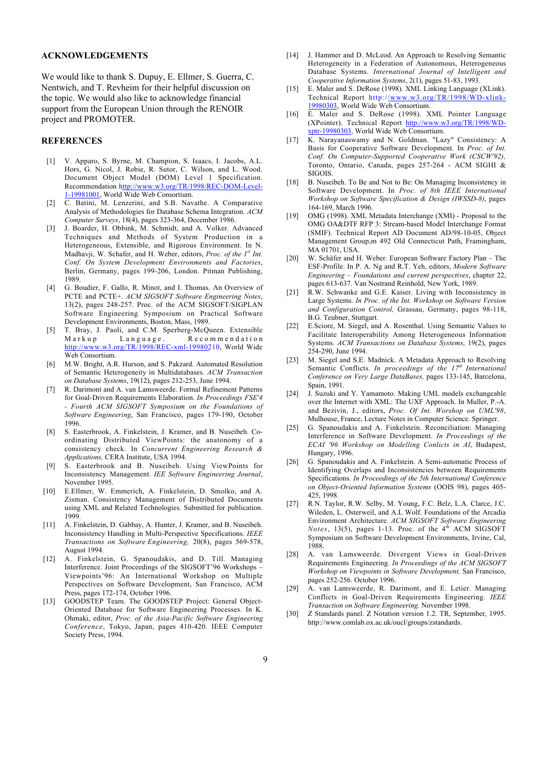## **ACKNOWLEDGEMENTS**

We would like to thank S. Dupuy, E. Ellmer, S. Guerra, C. Nentwich, and T. Revheim for their helpful discussion on the topic. We would also like to acknowledge financial support from the European Union through the RENOIR project and PROMOTER.

#### **REFERENCES**

- [1] V. Apparo, S. Byrne, M. Champion, S. Isaacs, I. Jacobs, A.L. Hors, G. Nicol, J. Robie, R. Sutor, C. Wilson, and L. Wood. Document Object Model (DOM) Level 1 Specification. Recommendation http://www.w3.org/TR/1998/REC-DOM-Level-1-19981001, World Wide Web Consortium.
- [2] C. Batini, M. Lenzerini, and S.B. Navathe. A Comparative Analysis of Methodologies for Database Schema Integration. *ACM Computer Surveys*, 18(4), pages 323-364, December 1986.
- [3] J. Boarder, H. Obbink, M. Schmidt, and A. Volker. Advanced Techniques and Methods of System Production in a Heterogeneous, Extensible, and Rigorous Environment. In N. Madhavji, W. Schafer, and H. Weber, editors, *Proc. of the 1st Int. Conf. On System Development Environments and Factories*, Berlin, Germany, pages 199-206, London. Pitman Publishing, 1989.
- [4] G. Boudier, F. Gallo, R. Minot, and I. Thomas. An Overview of PCTE and PCTE+. *ACM SIGSOFT Software Engineering Notes*, 13(2), pages 248-257. Proc. of the ACM SIGSOFT/SIGPLAN Software Engineering Symposium on Practical Software Development Environments, Boston, Mass, 1989.
- [5] T. Bray, J. Paoli, and C.M. Sperberg-McQueen. Extensible Markup Language. Recommendation http://www.w3.org/TR/1998/REC-xml-19980210, World Wide Web Consortium.
- [6] M.W. Bright, A.R. Hurson, and S. Pakzard. Automated Resolution of Semantic Heterogeneity in Multidatabases. *ACM Transaction on Database Systems*, 19(12), pages 212-253, June 1994.
- [7] R. Darimont and A. van Lamsweerde. Formal Refinement Patterns for Goal-Driven Requirements Elaboration. *In Proceedings FSE'4 - Fourth ACM SIGSOFT Symposium on the Foundations of Software Engineering*, San Francisco, pages 179-190, October 1996.
- [8] S. Easterbrook, A. Finkelstein, J. Kramer, and B. Nuseibeh. Coordinating Distributed ViewPoints: the anatonomy of a consistency check. In *Concurrent Engineering Research & Applications,* CERA Institute, USA 1994.
- [9] S. Easterbrook and B. Nuseibeh. Using ViewPoints for Inconsistency Management*. IEE Software Engineering Journal*, November 1995.
- [10] E.Ellmer, W. Emmerich, A. Finkelstein, D. Smolko, and A. Zisman. Consistency Management of Distributed Documents using XML and Related Technologies. Submitted for publication. 1999.
- [11] A. Finkelstein, D. Gabbay, A. Hunter, J. Kramer, and B. Nuseibeh. Inconsistency Handling in Multi-Perspective Specifications. *IEEE Transactions on Software Engineering,* 20(8), pages 569-578, August 1994.
- [12] A. Finkelstein, G. Spanoudakis, and D. Till. Managing Interference. Joint Proceedings of the SIGSOFT'96 Workshops – Viewpoints'96: An International Workshop on Multiple Perspectives on Software Development, San Francisco, ACM Press, pages 172-174, October 1996.
- [13] GOODSTEP Team. The GOODSTEP Project: General Object-Oriented Database for Software Engineering Processes. In K. Ohmaki, editor, *Proc. of the Asia-Pacific Software Engineering Conference*, Tokyo, Japan, pages 410-420. IEEE Computer Society Press, 1994.
- [14] J. Hammer and D. McLeod. An Approach to Resolving Semantic Heterogeneity in a Federation of Autonomous, Heterogeneous Database Systems. *International Journal of Intelligent and Cooperative Information Systems*, 2(1), pages 51-83, 1993.
- [15] E. Maler and S. DeRose (1998). XML Linking Language (XLink). Technical Report http://www.w3.org/TR/1998/WD-xlink-19980303, World Wide Web Consortium.
- [16] E. Maler and S. DeRose (1998). XML Pointer Language (XPointer). Technical Report http://www.w3.org/TR/1998/WDxptr-19980303, World Wide Web Consortium.
- [17] K. Narayanaswamy and N. Goldman. "Lazy" Consistency: A Basis for Cooperative Software Development. In *Proc. of Int. Conf. On Computer-Supported Cooperative Work (CSCW'92),* Toronto, Ontario, Canada, pages 257-264 - ACM SIGHI & SIGOIS.
- [18] B. Nuseibeh. To Be and Not to Be: On Managing Inconsistency in Software Development. In *Proc. of 8th IEEE International Workshop on Software Specification & Design (IWSSD-8)*, pages 164-169, March 1996.
- [19] OMG (1998). XML Metadata Interchange (XMI) Proposal to the OMG OA&DTF RFP 3: Stream-based Model Interchange Format (SMIF). Technical Report AD Document AD/98-10-05, Object Management Group,m 492 Old Connecticut Path, Framingham, MA 01701, USA.
- [20] W. Schäfer and H. Weber. European Software Factory Plan The ESF-Profile. In P. A. Ng and R.T. Yeh, editors, *Modern Software Engineering – Foundations and current perspectives*, chapter 22, pages 613-637. Van Nostrand Reinhold, New York, 1989.
- [21] R.W. Schwanke and G.E. Kaiser. Living with Inconsistency in Large Systems. *In Proc. of the Int. Workshop on Software Version and Configuration Control,* Grassau, Germany, pages 98-118, B.G. Teubner, Stuttgart.
- [22] E.Sciore, M. Siegel, and A. Rosenthal. Using Semantic Values to Facilitate Interoperability Among Heterogeneous Information Systems. *ACM Transactions on Database Systems*, 19(2), pages 254-290, June 1994.
- [23] M. Siegel and S.E. Madnick. A Metadata Approach to Resolving Semantic Conflicts. *In proceedings of the 17<sup>th</sup> International Conference on Very Large DataBases,* pages 133-145, Barcelona, Spain, 1991.
- [24] J. Suzuki and Y. Yamamoto. Making UML models exchangeable over the Internet with XML: The UXF Approach. In Muller, P.-A. and Bezivin, J., editors, *Proc. Of Int. Worshop on UML'98*, Mulhouse, France, Lecture Notes in Computer Science. Springer.
- [25] G. Spanoudakis and A. Finkelstein. Reconciliation: Managing Interference in Software Development. *In Proceedings of the ECAI '96 Workshop on Modelling Conlicts in AI*, Budapest, Hungary, 1996.
- [26] G. Spanoudakis and A. Finkelstein. A Semi-automatic Process of Identifying Overlaps and Inconsistencies between Requirements Specifications*. In Proceedings of the 5th International Conference on Object-Oriented Information Systems* (OOIS 98), pages 405- 425, 1998.
- [27] R.N. Taylor, R.W. Selby, M. Young, F.C. Belz, L.A. Clarce, J.C. Wileden, L. Osterweil, and A.L Wolf. Foundations of the Arcadia Environment Architecture*. ACM SIGSOFT Software Engineering Notes*, 13(5), pages 1-13. Proc. of the  $4<sup>th</sup>$  ACM SIGSOFT Symposium on Software Development Environments, Irvine, Cal, 1988.
- [28] A. van Lamsweerde. Divergent Views in Goal-Driven Requirements Engineering. *In Proceedings of the ACM SIGSOFT Workshop on Viewpoints in Software Development,* San Francisco, pages 252-256. October 1996.
- [29] A. van Lamsweerde, R. Darimont, and E. Letier. Managing Conflicts in Goal-Driven Requirements Engineering. *IEEE Transaction on Software Engineering.* November 1998.
- [30] Z Standards panel. Z Notation version 1.2. TR, September, 1995. http://www.comlab.ox.ac.uk/oucl/groups/zstandards.